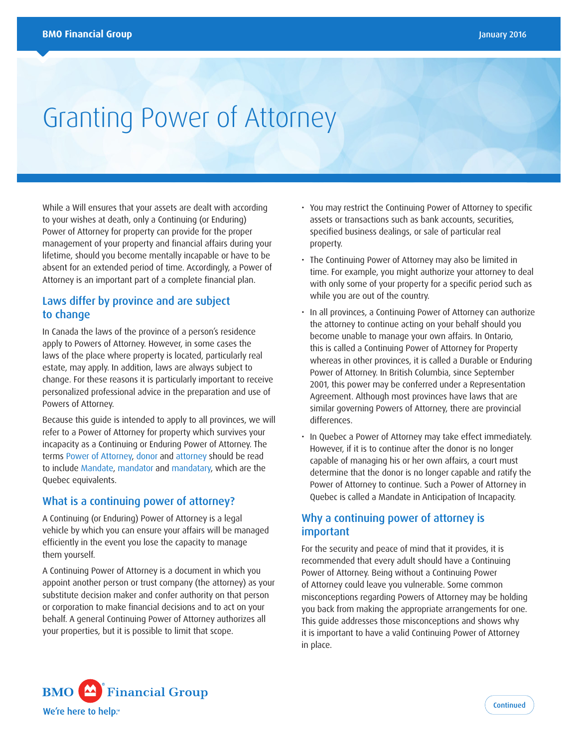# Granting Power of Attorney

While a Will ensures that your assets are dealt with according to your wishes at death, only a Continuing (or Enduring) Power of Attorney for property can provide for the proper management of your property and financial affairs during your lifetime, should you become mentally incapable or have to be absent for an extended period of time. Accordingly, a Power of Attorney is an important part of a complete financial plan.

# Laws differ by province and are subject to change

In Canada the laws of the province of a person's residence apply to Powers of Attorney. However, in some cases the laws of the place where property is located, particularly real estate, may apply. In addition, laws are always subject to change. For these reasons it is particularly important to receive personalized professional advice in the preparation and use of Powers of Attorney.

Because this guide is intended to apply to all provinces, we will refer to a Power of Attorney for property which survives your incapacity as a Continuing or Enduring Power of Attorney. The terms Power of Attorney, donor and attorney should be read to include Mandate, mandator and mandatary, which are the Quebec equivalents.

#### What is a continuing power of attorney?

A Continuing (or Enduring) Power of Attorney is a legal vehicle by which you can ensure your affairs will be managed efficiently in the event you lose the capacity to manage them yourself.

A Continuing Power of Attorney is a document in which you appoint another person or trust company (the attorney) as your substitute decision maker and confer authority on that person or corporation to make financial decisions and to act on your behalf. A general Continuing Power of Attorney authorizes all your properties, but it is possible to limit that scope.

- You may restrict the Continuing Power of Attorney to specific assets or transactions such as bank accounts, securities, specified business dealings, or sale of particular real property.
- The Continuing Power of Attorney may also be limited in time. For example, you might authorize your attorney to deal with only some of your property for a specific period such as while you are out of the country.
- In all provinces, a Continuing Power of Attorney can authorize the attorney to continue acting on your behalf should you become unable to manage your own affairs. In Ontario, this is called a Continuing Power of Attorney for Property whereas in other provinces, it is called a Durable or Enduring Power of Attorney. In British Columbia, since September 2001, this power may be conferred under a Representation Agreement. Although most provinces have laws that are similar governing Powers of Attorney, there are provincial differences.
- In Quebec a Power of Attorney may take effect immediately. However, if it is to continue after the donor is no longer capable of managing his or her own affairs, a court must determine that the donor is no longer capable and ratify the Power of Attorney to continue. Such a Power of Attorney in Quebec is called a Mandate in Anticipation of Incapacity.

# Why a continuing power of attorney is important

For the security and peace of mind that it provides, it is recommended that every adult should have a Continuing Power of Attorney. Being without a Continuing Power of Attorney could leave you vulnerable. Some common misconceptions regarding Powers of Attorney may be holding you back from making the appropriate arrangements for one. This guide addresses those misconceptions and shows why it is important to have a valid Continuing Power of Attorney in place.

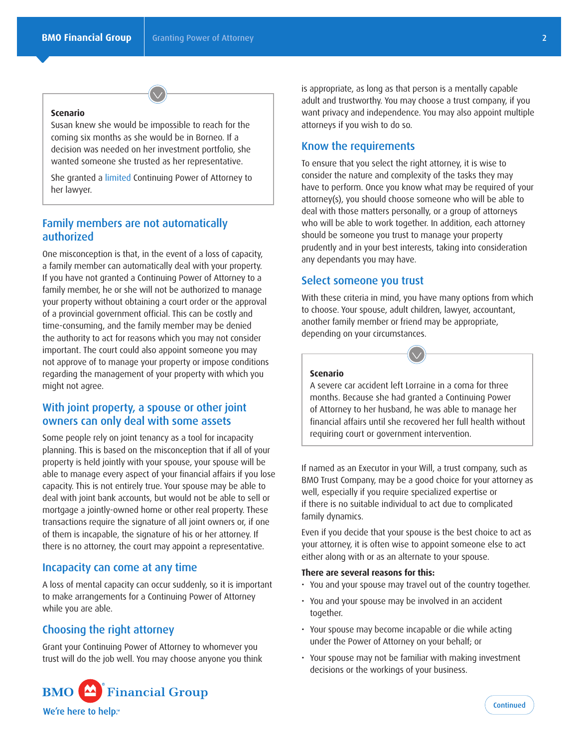#### **Scenario**

Susan knew she would be impossible to reach for the coming six months as she would be in Borneo. If a decision was needed on her investment portfolio, she wanted someone she trusted as her representative.

She granted a limited Continuing Power of Attorney to her lawyer.

# Family members are not automatically authorized

One misconception is that, in the event of a loss of capacity, a family member can automatically deal with your property. If you have not granted a Continuing Power of Attorney to a family member, he or she will not be authorized to manage your property without obtaining a court order or the approval of a provincial government official. This can be costly and time-consuming, and the family member may be denied the authority to act for reasons which you may not consider important. The court could also appoint someone you may not approve of to manage your property or impose conditions regarding the management of your property with which you might not agree.

## With joint property, a spouse or other joint owners can only deal with some assets

Some people rely on joint tenancy as a tool for incapacity planning. This is based on the misconception that if all of your property is held jointly with your spouse, your spouse will be able to manage every aspect of your financial affairs if you lose capacity. This is not entirely true. Your spouse may be able to deal with joint bank accounts, but would not be able to sell or mortgage a jointly-owned home or other real property. These transactions require the signature of all joint owners or, if one of them is incapable, the signature of his or her attorney. If there is no attorney, the court may appoint a representative.

#### Incapacity can come at any time

A loss of mental capacity can occur suddenly, so it is important to make arrangements for a Continuing Power of Attorney while you are able.

#### Choosing the right attorney

Grant your Continuing Power of Attorney to whomever you trust will do the job well. You may choose anyone you think



is appropriate, as long as that person is a mentally capable adult and trustworthy. You may choose a trust company, if you want privacy and independence. You may also appoint multiple attorneys if you wish to do so.

## Know the requirements

To ensure that you select the right attorney, it is wise to consider the nature and complexity of the tasks they may have to perform. Once you know what may be required of your attorney(s), you should choose someone who will be able to deal with those matters personally, or a group of attorneys who will be able to work together. In addition, each attorney should be someone you trust to manage your property prudently and in your best interests, taking into consideration any dependants you may have.

#### Select someone you trust

With these criteria in mind, you have many options from which to choose. Your spouse, adult children, lawyer, accountant, another family member or friend may be appropriate, depending on your circumstances.



## **Scenario**

A severe car accident left Lorraine in a coma for three months. Because she had granted a Continuing Power of Attorney to her husband, he was able to manage her financial affairs until she recovered her full health without requiring court or government intervention.

If named as an Executor in your Will, a trust company, such as BMO Trust Company, may be a good choice for your attorney as well, especially if you require specialized expertise or if there is no suitable individual to act due to complicated family dynamics.

Even if you decide that your spouse is the best choice to act as your attorney, it is often wise to appoint someone else to act either along with or as an alternate to your spouse.

#### **There are several reasons for this:**

- You and your spouse may travel out of the country together.
- You and your spouse may be involved in an accident together.
- Your spouse may become incapable or die while acting under the Power of Attorney on your behalf; or
- Your spouse may not be familiar with making investment decisions or the workings of your business.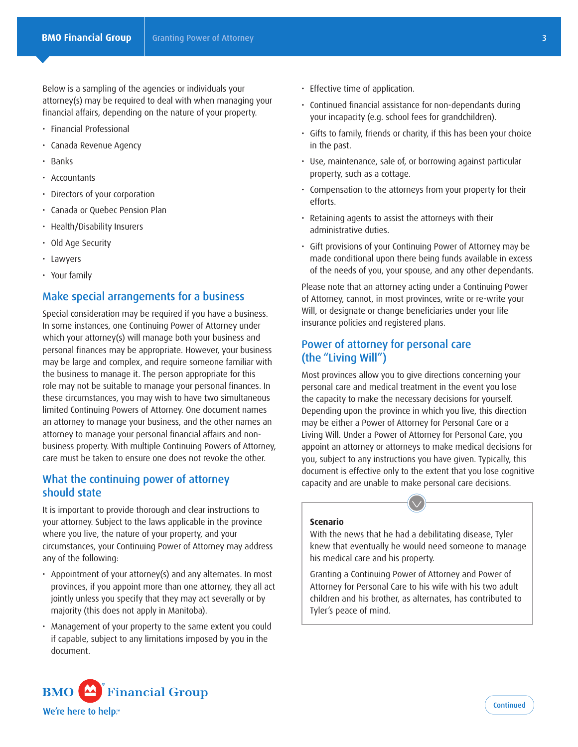Below is a sampling of the agencies or individuals your attorney(s) may be required to deal with when managing your financial affairs, depending on the nature of your property.

- Financial Professional
- Canada Revenue Agency
- • Banks
- • Accountants
- Directors of your corporation
- Canada or Quebec Pension Plan
- Health/Disability Insurers
- Old Age Security
- • Lawyers
- Your family

# Make special arrangements for a business

Special consideration may be required if you have a business. In some instances, one Continuing Power of Attorney under which your attorney(s) will manage both your business and personal finances may be appropriate. However, your business may be large and complex, and require someone familiar with the business to manage it. The person appropriate for this role may not be suitable to manage your personal finances. In these circumstances, you may wish to have two simultaneous limited Continuing Powers of Attorney. One document names an attorney to manage your business, and the other names an attorney to manage your personal financial affairs and nonbusiness property. With multiple Continuing Powers of Attorney, care must be taken to ensure one does not revoke the other.

## What the continuing power of attorney should state

It is important to provide thorough and clear instructions to your attorney. Subject to the laws applicable in the province where you live, the nature of your property, and your circumstances, your Continuing Power of Attorney may address any of the following:

- Appointment of your attorney(s) and any alternates. In most provinces, if you appoint more than one attorney, they all act jointly unless you specify that they may act severally or by majority (this does not apply in Manitoba).
- Management of your property to the same extent you could if capable, subject to any limitations imposed by you in the document.



- Effective time of application.
- Continued financial assistance for non-dependants during your incapacity (e.g. school fees for grandchildren).
- · Gifts to family, friends or charity, if this has been your choice in the past.
- Use, maintenance, sale of, or borrowing against particular property, such as a cottage.
- Compensation to the attorneys from your property for their efforts.
- Retaining agents to assist the attorneys with their administrative duties.
- Gift provisions of your Continuing Power of Attorney may be made conditional upon there being funds available in excess of the needs of you, your spouse, and any other dependants.

Please note that an attorney acting under a Continuing Power of Attorney, cannot, in most provinces, write or re-write your Will, or designate or change beneficiaries under your life insurance policies and registered plans.

# Power of attorney for personal care (the "Living Will")

Most provinces allow you to give directions concerning your personal care and medical treatment in the event you lose the capacity to make the necessary decisions for yourself. Depending upon the province in which you live, this direction may be either a Power of Attorney for Personal Care or a Living Will. Under a Power of Attorney for Personal Care, you appoint an attorney or attorneys to make medical decisions for you, subject to any instructions you have given. Typically, this document is effective only to the extent that you lose cognitive capacity and are unable to make personal care decisions.

#### **Scenario**

With the news that he had a debilitating disease, Tyler knew that eventually he would need someone to manage his medical care and his property.

Granting a Continuing Power of Attorney and Power of Attorney for Personal Care to his wife with his two adult children and his brother, as alternates, has contributed to Tyler's peace of mind.